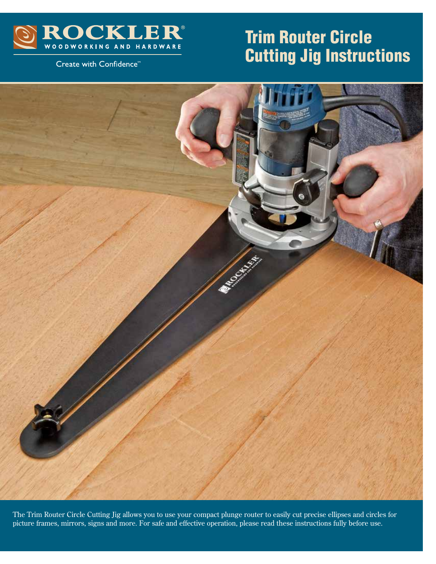

### Create with Confidence<sup>™</sup>

# Trim Router Circle Cutting Jig Instructions



The Trim Router Circle Cutting Jig allows you to use your compact plunge router to easily cut precise ellipses and circles for picture frames, mirrors, signs and more. For safe and effective operation, please read these instructions fully before use.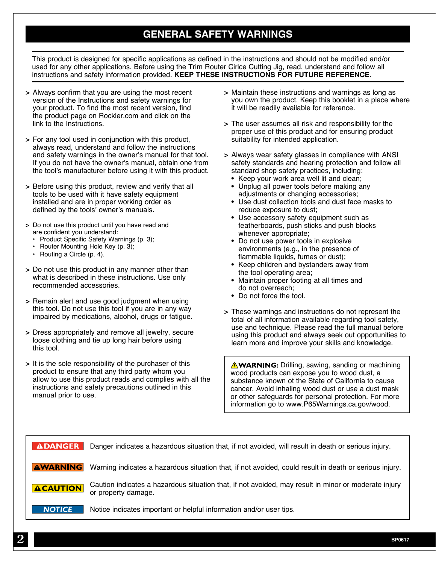# **GENERAL SAFETY WARNINGS**

This product is designed for specific applications as defined in the instructions and should not be modified and/or used for any other applications. Before using the Trim Router Cirlce Cutting Jig, read, understand and follow all instructions and safety information provided. **KEEP THESE INSTRUCTIONS FOR FUTURE REFERENCE**.

- **>** Always confirm that you are using the most recent version of the Instructions and safety warnings for your product. To find the most recent version, find the product page on Rockler.com and click on the link to the Instructions.
- **>** For any tool used in conjunction with this product, always read, understand and follow the instructions and safety warnings in the owner's manual for that tool. If you do not have the owner's manual, obtain one from the tool's manufacturer before using it with this product.
- **>** Before using this product, review and verify that all tools to be used with it have safety equipment installed and are in proper working order as defined by the tools' owner's manuals.
- **>** Do not use this product until you have read and are confident you understand:
	- Product Specific Safety Warnings (p. 3);
	- Router Mounting Hole Key (p. 3);
	- Routing a Circle (p. 4).
- **>** Do not use this product in any manner other than what is described in these instructions. Use only recommended accessories.
- **>** Remain alert and use good judgment when using this tool. Do not use this tool if you are in any way impaired by medications, alcohol, drugs or fatigue.
- **>** Dress appropriately and remove all jewelry, secure loose clothing and tie up long hair before using this tool.
- **>** It is the sole responsibility of the purchaser of this product to ensure that any third party whom you allow to use this product reads and complies with all the instructions and safety precautions outlined in this manual prior to use.
- **>** Maintain these instructions and warnings as long as you own the product. Keep this booklet in a place where it will be readily available for reference.
- **>** The user assumes all risk and responsibility for the proper use of this product and for ensuring product suitability for intended application.
- **>** Always wear safety glasses in compliance with ANSI safety standards and hearing protection and follow all standard shop safety practices, including:
	- **•** Keep your work area well lit and clean;
	- **•** Unplug all power tools before making any adjustments or changing accessories;
	- **•** Use dust collection tools and dust face masks to reduce exposure to dust;
	- **•** Use accessory safety equipment such as featherboards, push sticks and push blocks whenever appropriate;
	- **•** Do not use power tools in explosive environments (e.g., in the presence of flammable liquids, fumes or dust);
	- **•** Keep children and bystanders away from the tool operating area;
	- **•** Maintain proper footing at all times and do not overreach;
	- **•** Do not force the tool.
- **>** These warnings and instructions do not represent the total of all information available regarding tool safety, use and technique. Please read the full manual before using this product and always seek out opportunities to learn more and improve your skills and knowledge.

**AWARNING:** Drilling, sawing, sanding or machining wood products can expose you to wood dust, a substance known ot the State of California to cause cancer. Avoid inhaling wood dust or use a dust mask or other safeguards for personal protection. For more information go to www.P65Warnings.ca.gov/wood.

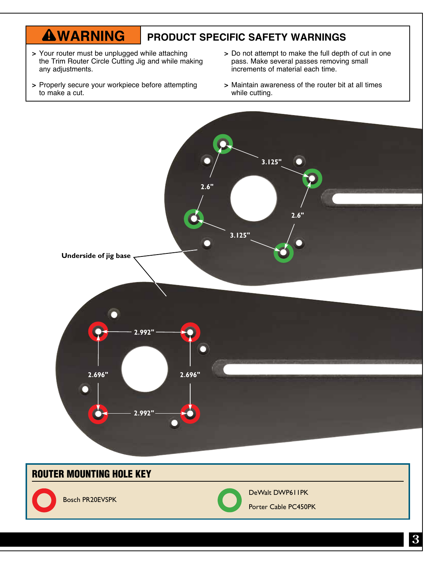#### **AWARNING PRODUCT SPECIFIC SAFETY WARNINGS**

- **>** Your router must be unplugged while attaching the Trim Router Circle Cutting Jig and while making any adjustments.
- **>** Properly secure your workpiece before attempting to make a cut.
- **>** Do not attempt to make the full depth of cut in one pass. Make several passes removing small increments of material each time.
- **>** Maintain awareness of the router bit at all times while cutting.